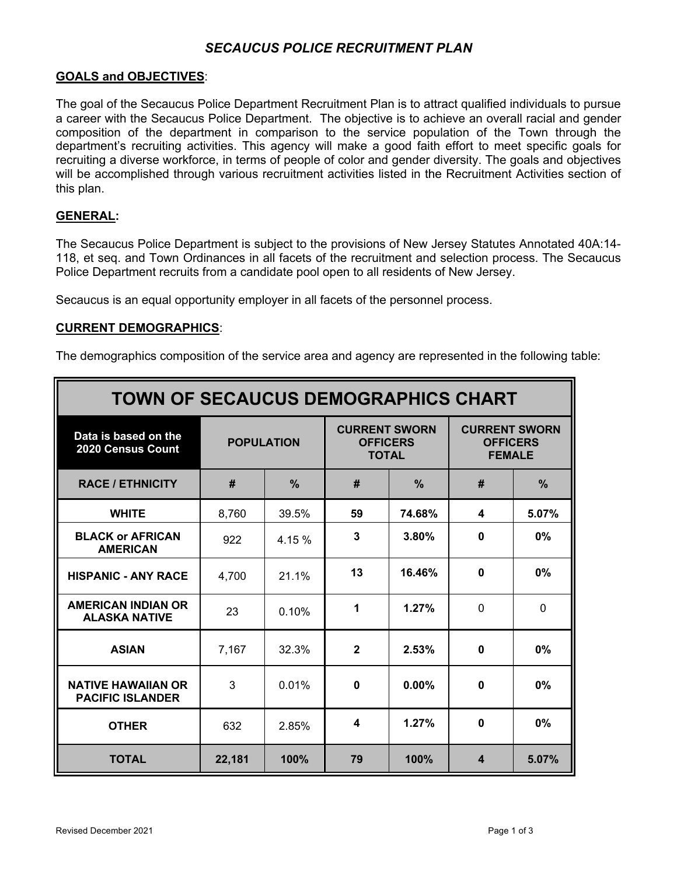# *SECAUCUS POLICE RECRUITMENT PLAN*

## **GOALS and OBJECTIVES**:

The goal of the Secaucus Police Department Recruitment Plan is to attract qualified individuals to pursue a career with the Secaucus Police Department. The objective is to achieve an overall racial and gender composition of the department in comparison to the service population of the Town through the department's recruiting activities. This agency will make a good faith effort to meet specific goals for recruiting a diverse workforce, in terms of people of color and gender diversity. The goals and objectives will be accomplished through various recruitment activities listed in the Recruitment Activities section of this plan.

### **GENERAL:**

The Secaucus Police Department is subject to the provisions of New Jersey Statutes Annotated 40A:14- 118, et seq. and Town Ordinances in all facets of the recruitment and selection process. The Secaucus Police Department recruits from a candidate pool open to all residents of New Jersey.

Secaucus is an equal opportunity employer in all facets of the personnel process.

#### **CURRENT DEMOGRAPHICS**:

The demographics composition of the service area and agency are represented in the following table:

| <b>TOWN OF SECAUCUS DEMOGRAPHICS CHART</b>           |                   |               |                                                         |        |                                                          |          |
|------------------------------------------------------|-------------------|---------------|---------------------------------------------------------|--------|----------------------------------------------------------|----------|
| Data is based on the<br>2020 Census Count            | <b>POPULATION</b> |               | <b>CURRENT SWORN</b><br><b>OFFICERS</b><br><b>TOTAL</b> |        | <b>CURRENT SWORN</b><br><b>OFFICERS</b><br><b>FEMALE</b> |          |
| <b>RACE / ETHNICITY</b>                              | #                 | $\frac{9}{6}$ | #                                                       | $\%$   | #                                                        | $\%$     |
| <b>WHITE</b>                                         | 8,760             | 39.5%         | 59                                                      | 74.68% | 4                                                        | 5.07%    |
| <b>BLACK or AFRICAN</b><br><b>AMERICAN</b>           | 922               | 4.15%         | 3                                                       | 3.80%  | $\bf{0}$                                                 | 0%       |
| <b>HISPANIC - ANY RACE</b>                           | 4,700             | 21.1%         | 13                                                      | 16.46% | $\Omega$                                                 | 0%       |
| <b>AMERICAN INDIAN OR</b><br><b>ALASKA NATIVE</b>    | 23                | 0.10%         | 1                                                       | 1.27%  | $\Omega$                                                 | $\Omega$ |
| <b>ASIAN</b>                                         | 7,167             | 32.3%         | $\mathbf{2}$                                            | 2.53%  | $\Omega$                                                 | 0%       |
| <b>NATIVE HAWAIIAN OR</b><br><b>PACIFIC ISLANDER</b> | 3                 | 0.01%         | $\bf{0}$                                                | 0.00%  | $\bf{0}$                                                 | 0%       |
| <b>OTHER</b>                                         | 632               | 2.85%         | 4                                                       | 1.27%  | $\Omega$                                                 | 0%       |
| <b>TOTAL</b>                                         | 22,181            | 100%          | 79                                                      | 100%   | $\boldsymbol{4}$                                         | 5.07%    |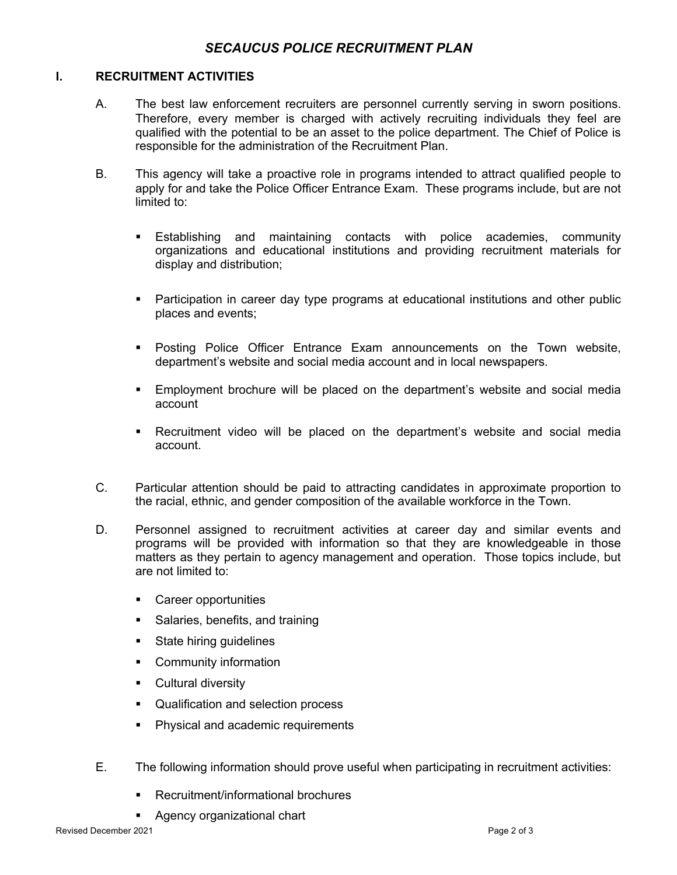## **I. RECRUITMENT ACTIVITIES**

- A. The best law enforcement recruiters are personnel currently serving in sworn positions. Therefore, every member is charged with actively recruiting individuals they feel are qualified with the potential to be an asset to the police department. The Chief of Police is responsible for the administration of the Recruitment Plan.
- B. This agency will take a proactive role in programs intended to attract qualified people to apply for and take the Police Officer Entrance Exam. These programs include, but are not limited to:
	- § Establishing and maintaining contacts with police academies, community organizations and educational institutions and providing recruitment materials for display and distribution;
	- Participation in career day type programs at educational institutions and other public places and events;
	- § Posting Police Officer Entrance Exam announcements on the Town website, department's website and social media account and in local newspapers.
	- § Employment brochure will be placed on the department's website and social media account
	- § Recruitment video will be placed on the department's website and social media account.
- C. Particular attention should be paid to attracting candidates in approximate proportion to the racial, ethnic, and gender composition of the available workforce in the Town.
- D. Personnel assigned to recruitment activities at career day and similar events and programs will be provided with information so that they are knowledgeable in those matters as they pertain to agency management and operation. Those topics include, but are not limited to:
	- Career opportunities
	- Salaries, benefits, and training
	- State hiring guidelines
	- **•** Community information
	- Cultural diversity
	- § Qualification and selection process
	- **Physical and academic requirements**
- E. The following information should prove useful when participating in recruitment activities:
	- § Recruitment/informational brochures
	- Agency organizational chart